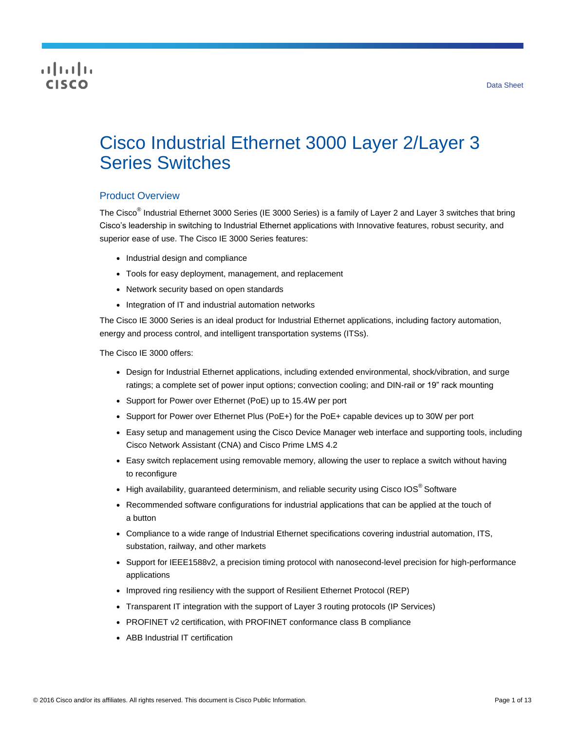# **CISCO**

# Cisco Industrial Ethernet 3000 Layer 2/Layer 3 Series Switches

## Product Overview

The Cisco<sup>®</sup> Industrial Ethernet 3000 Series (IE 3000 Series) is a family of Layer 2 and Layer 3 switches that bring Cisco's leadership in switching to Industrial Ethernet applications with Innovative features, robust security, and superior ease of use. The Cisco IE 3000 Series features:

- Industrial design and compliance
- Tools for easy deployment, management, and replacement
- Network security based on open standards
- Integration of IT and industrial automation networks

The Cisco IE 3000 Series is an ideal product for Industrial Ethernet applications, including factory automation, energy and process control, and intelligent transportation systems (ITSs).

The Cisco IE 3000 offers:

- Design for Industrial Ethernet applications, including extended environmental, shock/vibration, and surge ratings; a complete set of power input options; convection cooling; and DIN-rail or 19" rack mounting
- Support for Power over Ethernet (PoE) up to 15.4W per port
- Support for Power over Ethernet Plus (PoE+) for the PoE+ capable devices up to 30W per port
- Easy setup and management using the Cisco Device Manager web interface and supporting tools, including Cisco Network Assistant (CNA) and Cisco Prime LMS 4.2
- Easy switch replacement using removable memory, allowing the user to replace a switch without having to reconfigure
- High availability, guaranteed determinism, and reliable security using Cisco IOS<sup>®</sup> Software
- Recommended software configurations for industrial applications that can be applied at the touch of a button
- Compliance to a wide range of Industrial Ethernet specifications covering industrial automation, ITS, substation, railway, and other markets
- Support for IEEE1588v2, a precision timing protocol with nanosecond-level precision for high-performance applications
- Improved ring resiliency with the support of Resilient Ethernet Protocol (REP)
- Transparent IT integration with the support of Layer 3 routing protocols (IP Services)
- PROFINET v2 certification, with PROFINET conformance class B compliance
- ABB Industrial IT certification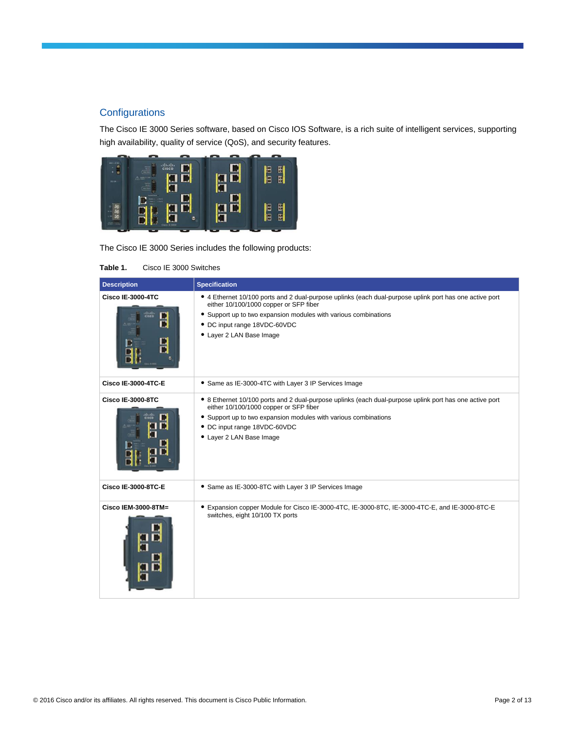# **Configurations**

The Cisco IE 3000 Series software, based on Cisco IOS Software, is a rich suite of intelligent services, supporting high availability, quality of service (QoS), and security features.



The Cisco IE 3000 Series includes the following products:

#### **Table 1.** Cisco IE 3000 Switches

| <b>Description</b>            | <b>Specification</b>                                                                                                                                                                                                                                                             |
|-------------------------------|----------------------------------------------------------------------------------------------------------------------------------------------------------------------------------------------------------------------------------------------------------------------------------|
| <b>Cisco IE-3000-4TC</b><br>п | • 4 Ethernet 10/100 ports and 2 dual-purpose uplinks (each dual-purpose uplink port has one active port<br>either 10/100/1000 copper or SFP fiber<br>• Support up to two expansion modules with various combinations<br>• DC input range 18VDC-60VDC<br>• Layer 2 LAN Base Image |
| <b>Cisco IE-3000-4TC-E</b>    | • Same as IE-3000-4TC with Layer 3 IP Services Image                                                                                                                                                                                                                             |
| <b>Cisco IE-3000-8TC</b>      | • 8 Ethernet 10/100 ports and 2 dual-purpose uplinks (each dual-purpose uplink port has one active port<br>either 10/100/1000 copper or SFP fiber<br>• Support up to two expansion modules with various combinations<br>• DC input range 18VDC-60VDC<br>• Layer 2 LAN Base Image |
| <b>Cisco IE-3000-8TC-E</b>    | • Same as IE-3000-8TC with Layer 3 IP Services Image                                                                                                                                                                                                                             |
| Cisco IEM-3000-8TM=           | ● Expansion copper Module for Cisco IE-3000-4TC, IE-3000-8TC, IE-3000-4TC-E, and IE-3000-8TC-E<br>switches, eight 10/100 TX ports                                                                                                                                                |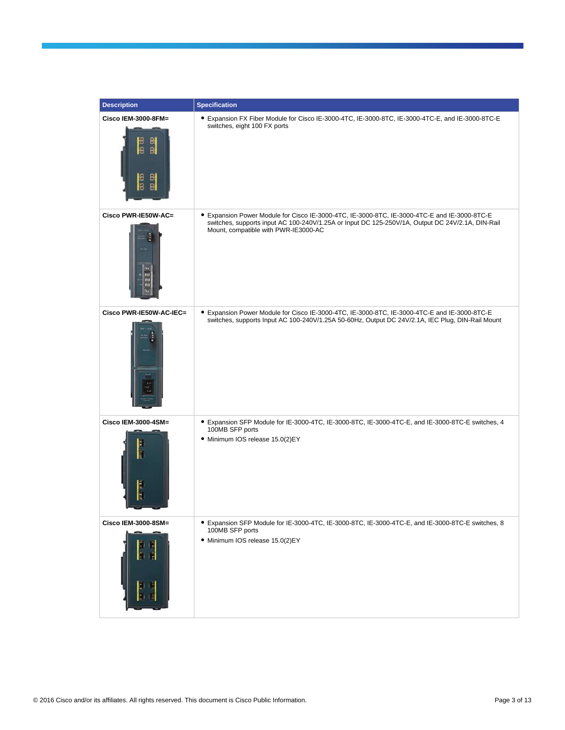| <b>Description</b>                         | <b>Specification</b>                                                                                                                                                                                                                     |
|--------------------------------------------|------------------------------------------------------------------------------------------------------------------------------------------------------------------------------------------------------------------------------------------|
| Cisco IEM-3000-8FM=<br>ian<br>몗<br>面面<br>몖 | ● Expansion FX Fiber Module for Cisco IE-3000-4TC, IE-3000-8TC, IE-3000-4TC-E, and IE-3000-8TC-E<br>switches, eight 100 FX ports                                                                                                         |
| Cisco PWR-IE50W-AC=                        | ● Expansion Power Module for Cisco IE-3000-4TC, IE-3000-8TC, IE-3000-4TC-E and IE-3000-8TC-E<br>switches, supports input AC 100-240V/1.25A or Input DC 125-250V/1A, Output DC 24V/2.1A, DIN-Rail<br>Mount, compatible with PWR-IE3000-AC |
| Cisco PWR-IE50W-AC-IEC=<br>DC OR           | ● Expansion Power Module for Cisco IE-3000-4TC, IE-3000-8TC, IE-3000-4TC-E and IE-3000-8TC-E<br>switches, supports Input AC 100-240V/1.25A 50-60Hz, Output DC 24V/2.1A, IEC Plug, DIN-Rail Mount                                         |
| Cisco IEM-3000-4SM=<br>l<br>H              | • Expansion SFP Module for IE-3000-4TC, IE-3000-8TC, IE-3000-4TC-E, and IE-3000-8TC-E switches, 4<br>100MB SFP ports<br>· Minimum IOS release 15.0(2)EY                                                                                  |
| Cisco IEM-3000-8SM=                        | ● Expansion SFP Module for IE-3000-4TC, IE-3000-8TC, IE-3000-4TC-E, and IE-3000-8TC-E switches, 8<br>100MB SFP ports<br>· Minimum IOS release 15.0(2)EY                                                                                  |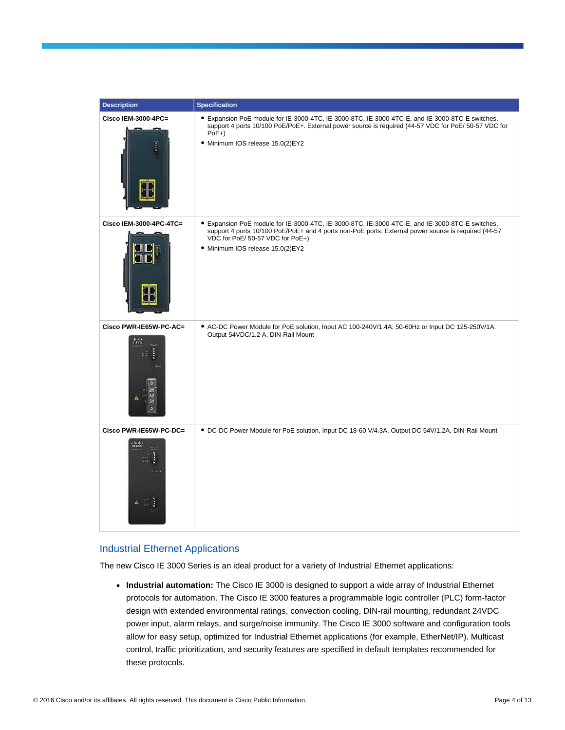| <b>Description</b>                       | <b>Specification</b>                                                                                                                                                                                                                                                           |
|------------------------------------------|--------------------------------------------------------------------------------------------------------------------------------------------------------------------------------------------------------------------------------------------------------------------------------|
| Cisco IEM-3000-4PC=                      | • Expansion PoE module for IE-3000-4TC, IE-3000-8TC, IE-3000-4TC-E, and IE-3000-8TC-E switches,<br>support 4 ports 10/100 PoE/PoE+. External power source is required (44-57 VDC for PoE/ 50-57 VDC for<br>$PoE+$<br>· Minimum IOS release 15.0(2)EY2                          |
| Cisco IEM-3000-4PC-4TC=                  | • Expansion PoE module for IE-3000-4TC, IE-3000-8TC, IE-3000-4TC-E, and IE-3000-8TC-E switches,<br>support 4 ports 10/100 PoE/PoE+ and 4 ports non-PoE ports. External power source is required (44-57<br>VDC for PoE/ 50-57 VDC for PoE+)<br>· Minimum IOS release 15.0(2)EY2 |
| Cisco PWR-IE65W-PC-AC=<br>$rac{1}{1000}$ | • AC-DC Power Module for PoE solution, Input AC 100-240V/1.4A, 50-60Hz or Input DC 125-250V/1A.<br>Output 54VDC/1.2 A, DIN-Rail Mount                                                                                                                                          |
| Cisco PWR-IE65W-PC-DC=<br>abalo<br>cisco | • DC-DC Power Module for PoE solution, Input DC 18-60 V/4.3A, Output DC 54V/1.2A, DIN-Rail Mount                                                                                                                                                                               |

#### Industrial Ethernet Applications

The new Cisco IE 3000 Series is an ideal product for a variety of Industrial Ethernet applications:

● **Industrial automation:** The Cisco IE 3000 is designed to support a wide array of Industrial Ethernet protocols for automation. The Cisco IE 3000 features a programmable logic controller (PLC) form-factor design with extended environmental ratings, convection cooling, DIN-rail mounting, redundant 24VDC power input, alarm relays, and surge/noise immunity. The Cisco IE 3000 software and configuration tools allow for easy setup, optimized for Industrial Ethernet applications (for example, EtherNet/IP). Multicast control, traffic prioritization, and security features are specified in default templates recommended for these protocols.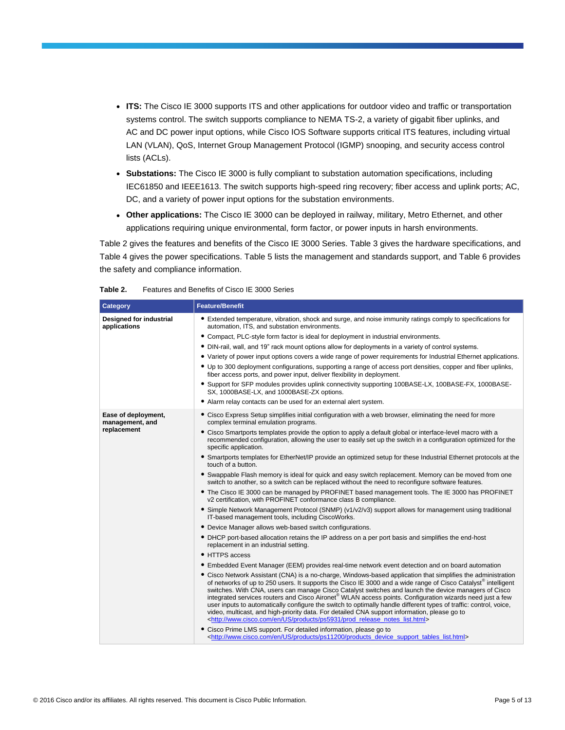- **ITS:** The Cisco IE 3000 supports ITS and other applications for outdoor video and traffic or transportation systems control. The switch supports compliance to NEMA TS-2, a variety of gigabit fiber uplinks, and AC and DC power input options, while Cisco IOS Software supports critical ITS features, including virtual LAN (VLAN), QoS, Internet Group Management Protocol (IGMP) snooping, and security access control lists (ACLs).
- **Substations:** The Cisco IE 3000 is fully compliant to substation automation specifications, including IEC61850 and IEEE1613. The switch supports high-speed ring recovery; fiber access and uplink ports; AC, DC, and a variety of power input options for the substation environments.
- **Other applications:** The Cisco IE 3000 can be deployed in railway, military, Metro Ethernet, and other applications requiring unique environmental, form factor, or power inputs in harsh environments.

Table 2 gives the features and benefits of the Cisco IE 3000 Series. Table 3 gives the hardware specifications, and Table 4 gives the power specifications. Table 5 lists the management and standards support, and Table 6 provides the safety and compliance information.

| Features and Benefits of Cisco IE 3000 Series<br>Table 2. |
|-----------------------------------------------------------|
|-----------------------------------------------------------|

| Category                                | <b>Feature/Benefit</b>                                                                                                                                                                                                                                                                                                                                                                                                                                                                                                                                                                                                                                                                                                                                                                            |  |  |  |  |
|-----------------------------------------|---------------------------------------------------------------------------------------------------------------------------------------------------------------------------------------------------------------------------------------------------------------------------------------------------------------------------------------------------------------------------------------------------------------------------------------------------------------------------------------------------------------------------------------------------------------------------------------------------------------------------------------------------------------------------------------------------------------------------------------------------------------------------------------------------|--|--|--|--|
| Designed for industrial<br>applications | • Extended temperature, vibration, shock and surge, and noise immunity ratings comply to specifications for<br>automation, ITS, and substation environments.                                                                                                                                                                                                                                                                                                                                                                                                                                                                                                                                                                                                                                      |  |  |  |  |
|                                         | • Compact, PLC-style form factor is ideal for deployment in industrial environments.                                                                                                                                                                                                                                                                                                                                                                                                                                                                                                                                                                                                                                                                                                              |  |  |  |  |
|                                         | • DIN-rail, wall, and 19" rack mount options allow for deployments in a variety of control systems.                                                                                                                                                                                                                                                                                                                                                                                                                                                                                                                                                                                                                                                                                               |  |  |  |  |
|                                         | • Variety of power input options covers a wide range of power requirements for Industrial Ethernet applications.                                                                                                                                                                                                                                                                                                                                                                                                                                                                                                                                                                                                                                                                                  |  |  |  |  |
|                                         | • Up to 300 deployment configurations, supporting a range of access port densities, copper and fiber uplinks,<br>fiber access ports, and power input, deliver flexibility in deployment.                                                                                                                                                                                                                                                                                                                                                                                                                                                                                                                                                                                                          |  |  |  |  |
|                                         | • Support for SFP modules provides uplink connectivity supporting 100BASE-LX, 100BASE-FX, 1000BASE-<br>SX, 1000BASE-LX, and 1000BASE-ZX options.                                                                                                                                                                                                                                                                                                                                                                                                                                                                                                                                                                                                                                                  |  |  |  |  |
|                                         | • Alarm relay contacts can be used for an external alert system.                                                                                                                                                                                                                                                                                                                                                                                                                                                                                                                                                                                                                                                                                                                                  |  |  |  |  |
| Ease of deployment,<br>management, and  | • Cisco Express Setup simplifies initial configuration with a web browser, eliminating the need for more<br>complex terminal emulation programs.                                                                                                                                                                                                                                                                                                                                                                                                                                                                                                                                                                                                                                                  |  |  |  |  |
| replacement                             | • Cisco Smartports templates provide the option to apply a default global or interface-level macro with a<br>recommended configuration, allowing the user to easily set up the switch in a configuration optimized for the<br>specific application.                                                                                                                                                                                                                                                                                                                                                                                                                                                                                                                                               |  |  |  |  |
|                                         | • Smartports templates for EtherNet/IP provide an optimized setup for these Industrial Ethernet protocols at the<br>touch of a button.                                                                                                                                                                                                                                                                                                                                                                                                                                                                                                                                                                                                                                                            |  |  |  |  |
|                                         | • Swappable Flash memory is ideal for quick and easy switch replacement. Memory can be moved from one<br>switch to another, so a switch can be replaced without the need to reconfigure software features.                                                                                                                                                                                                                                                                                                                                                                                                                                                                                                                                                                                        |  |  |  |  |
|                                         | • The Cisco IE 3000 can be managed by PROFINET based management tools. The IE 3000 has PROFINET<br>v2 certification, with PROFINET conformance class B compliance.                                                                                                                                                                                                                                                                                                                                                                                                                                                                                                                                                                                                                                |  |  |  |  |
|                                         | • Simple Network Management Protocol (SNMP) (v1/v2/v3) support allows for management using traditional<br>IT-based management tools, including CiscoWorks.                                                                                                                                                                                                                                                                                                                                                                                                                                                                                                                                                                                                                                        |  |  |  |  |
|                                         | • Device Manager allows web-based switch configurations.                                                                                                                                                                                                                                                                                                                                                                                                                                                                                                                                                                                                                                                                                                                                          |  |  |  |  |
|                                         | • DHCP port-based allocation retains the IP address on a per port basis and simplifies the end-host<br>replacement in an industrial setting.                                                                                                                                                                                                                                                                                                                                                                                                                                                                                                                                                                                                                                                      |  |  |  |  |
|                                         | • HTTPS access                                                                                                                                                                                                                                                                                                                                                                                                                                                                                                                                                                                                                                                                                                                                                                                    |  |  |  |  |
|                                         | • Embedded Event Manager (EEM) provides real-time network event detection and on board automation                                                                                                                                                                                                                                                                                                                                                                                                                                                                                                                                                                                                                                                                                                 |  |  |  |  |
|                                         | • Cisco Network Assistant (CNA) is a no-charge, Windows-based application that simplifies the administration<br>of networks of up to 250 users. It supports the Cisco IE 3000 and a wide range of Cisco Catalyst <sup>®</sup> intelligent<br>switches. With CNA, users can manage Cisco Catalyst switches and launch the device managers of Cisco<br>integrated services routers and Cisco Aironet® WLAN access points. Configuration wizards need just a few<br>user inputs to automatically configure the switch to optimally handle different types of traffic: control, voice,<br>video, multicast, and high-priority data. For detailed CNA support information, please go to<br><http: en="" list.html="" notes="" prod="" products="" ps5931="" release="" us="" www.cisco.com=""></http:> |  |  |  |  |
|                                         | • Cisco Prime LMS support. For detailed information, please go to<br><http: device="" en="" list.html="" products="" ps11200="" support="" tables="" us="" www.cisco.com=""></http:>                                                                                                                                                                                                                                                                                                                                                                                                                                                                                                                                                                                                              |  |  |  |  |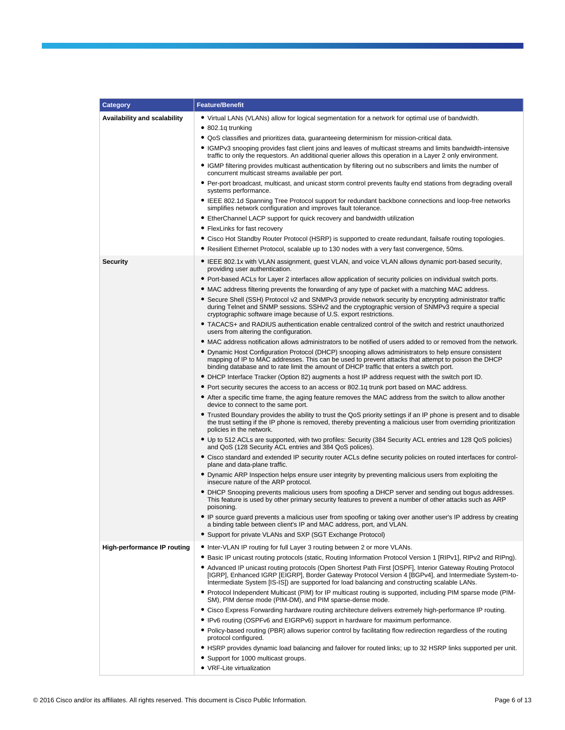| Category                     | <b>Feature/Benefit</b>                                                                                                                                                                                                                                                                                                |  |  |  |  |
|------------------------------|-----------------------------------------------------------------------------------------------------------------------------------------------------------------------------------------------------------------------------------------------------------------------------------------------------------------------|--|--|--|--|
| Availability and scalability | • Virtual LANs (VLANs) allow for logical segmentation for a network for optimal use of bandwidth.                                                                                                                                                                                                                     |  |  |  |  |
|                              | • 802.1q trunking                                                                                                                                                                                                                                                                                                     |  |  |  |  |
|                              | • QoS classifies and prioritizes data, guaranteeing determinism for mission-critical data.                                                                                                                                                                                                                            |  |  |  |  |
|                              | • IGMPv3 snooping provides fast client joins and leaves of multicast streams and limits bandwidth-intensive<br>traffic to only the requestors. An additional querier allows this operation in a Layer 2 only environment.                                                                                             |  |  |  |  |
|                              | • IGMP filtering provides multicast authentication by filtering out no subscribers and limits the number of<br>concurrent multicast streams available per port.                                                                                                                                                       |  |  |  |  |
|                              | • Per-port broadcast, multicast, and unicast storm control prevents faulty end stations from degrading overall<br>systems performance.                                                                                                                                                                                |  |  |  |  |
|                              | • IEEE 802.1d Spanning Tree Protocol support for redundant backbone connections and loop-free networks<br>simplifies network configuration and improves fault tolerance.                                                                                                                                              |  |  |  |  |
|                              | • EtherChannel LACP support for quick recovery and bandwidth utilization                                                                                                                                                                                                                                              |  |  |  |  |
|                              | • FlexLinks for fast recovery                                                                                                                                                                                                                                                                                         |  |  |  |  |
|                              | • Cisco Hot Standby Router Protocol (HSRP) is supported to create redundant, failsafe routing topologies.                                                                                                                                                                                                             |  |  |  |  |
|                              | • Resilient Ethernet Protocol, scalable up to 130 nodes with a very fast convergence, 50ms.                                                                                                                                                                                                                           |  |  |  |  |
| <b>Security</b>              | • IEEE 802.1x with VLAN assignment, guest VLAN, and voice VLAN allows dynamic port-based security,<br>providing user authentication.                                                                                                                                                                                  |  |  |  |  |
|                              | • Port-based ACLs for Layer 2 interfaces allow application of security policies on individual switch ports.                                                                                                                                                                                                           |  |  |  |  |
|                              | • MAC address filtering prevents the forwarding of any type of packet with a matching MAC address.                                                                                                                                                                                                                    |  |  |  |  |
|                              | • Secure Shell (SSH) Protocol v2 and SNMPv3 provide network security by encrypting administrator traffic<br>during Telnet and SNMP sessions. SSHv2 and the cryptographic version of SNMPv3 require a special<br>cryptographic software image because of U.S. export restrictions.                                     |  |  |  |  |
|                              | • TACACS+ and RADIUS authentication enable centralized control of the switch and restrict unauthorized<br>users from altering the configuration.                                                                                                                                                                      |  |  |  |  |
|                              | • MAC address notification allows administrators to be notified of users added to or removed from the network.                                                                                                                                                                                                        |  |  |  |  |
|                              | • Dynamic Host Configuration Protocol (DHCP) snooping allows administrators to help ensure consistent<br>mapping of IP to MAC addresses. This can be used to prevent attacks that attempt to poison the DHCP<br>binding database and to rate limit the amount of DHCP traffic that enters a switch port.              |  |  |  |  |
|                              | • DHCP Interface Tracker (Option 82) augments a host IP address request with the switch port ID.                                                                                                                                                                                                                      |  |  |  |  |
|                              | • Port security secures the access to an access or 802.1q trunk port based on MAC address.                                                                                                                                                                                                                            |  |  |  |  |
|                              | • After a specific time frame, the aging feature removes the MAC address from the switch to allow another<br>device to connect to the same port.                                                                                                                                                                      |  |  |  |  |
|                              | • Trusted Boundary provides the ability to trust the QoS priority settings if an IP phone is present and to disable<br>the trust setting if the IP phone is removed, thereby preventing a malicious user from overriding prioritization<br>policies in the network.                                                   |  |  |  |  |
|                              | • Up to 512 ACLs are supported, with two profiles: Security (384 Security ACL entries and 128 QoS policies)<br>and QoS (128 Security ACL entries and 384 QoS polices).                                                                                                                                                |  |  |  |  |
|                              | • Cisco standard and extended IP security router ACLs define security policies on routed interfaces for control-<br>plane and data-plane traffic.                                                                                                                                                                     |  |  |  |  |
|                              | • Dynamic ARP Inspection helps ensure user integrity by preventing malicious users from exploiting the<br>insecure nature of the ARP protocol.                                                                                                                                                                        |  |  |  |  |
|                              | • DHCP Snooping prevents malicious users from spoofing a DHCP server and sending out bogus addresses.<br>This feature is used by other primary security features to prevent a number of other attacks such as ARP<br>poisoning.                                                                                       |  |  |  |  |
|                              | • IP source guard prevents a malicious user from spoofing or taking over another user's IP address by creating<br>a binding table between client's IP and MAC address, port, and VLAN.                                                                                                                                |  |  |  |  |
|                              | • Support for private VLANs and SXP (SGT Exchange Protocol)                                                                                                                                                                                                                                                           |  |  |  |  |
| High-performance IP routing  | • Inter-VLAN IP routing for full Layer 3 routing between 2 or more VLANs.                                                                                                                                                                                                                                             |  |  |  |  |
|                              | • Basic IP unicast routing protocols (static, Routing Information Protocol Version 1 [RIPv1], RIPv2 and RIPng).                                                                                                                                                                                                       |  |  |  |  |
|                              | • Advanced IP unicast routing protocols (Open Shortest Path First [OSPF], Interior Gateway Routing Protocol<br>[IGRP], Enhanced IGRP [EIGRP], Border Gateway Protocol Version 4 [BGPv4], and Intermediate System-to-<br>Intermediate System [IS-IS]) are supported for load balancing and constructing scalable LANs. |  |  |  |  |
|                              | • Protocol Independent Multicast (PIM) for IP multicast routing is supported, including PIM sparse mode (PIM-<br>SM), PIM dense mode (PIM-DM), and PIM sparse-dense mode.                                                                                                                                             |  |  |  |  |
|                              | • Cisco Express Forwarding hardware routing architecture delivers extremely high-performance IP routing.                                                                                                                                                                                                              |  |  |  |  |
|                              | • IPv6 routing (OSPFv6 and EIGRPv6) support in hardware for maximum performance.                                                                                                                                                                                                                                      |  |  |  |  |
|                              | • Policy-based routing (PBR) allows superior control by facilitating flow redirection regardless of the routing<br>protocol configured.                                                                                                                                                                               |  |  |  |  |
|                              | • HSRP provides dynamic load balancing and failover for routed links; up to 32 HSRP links supported per unit.                                                                                                                                                                                                         |  |  |  |  |
|                              | • Support for 1000 multicast groups.                                                                                                                                                                                                                                                                                  |  |  |  |  |
|                              | • VRF-Lite virtualization                                                                                                                                                                                                                                                                                             |  |  |  |  |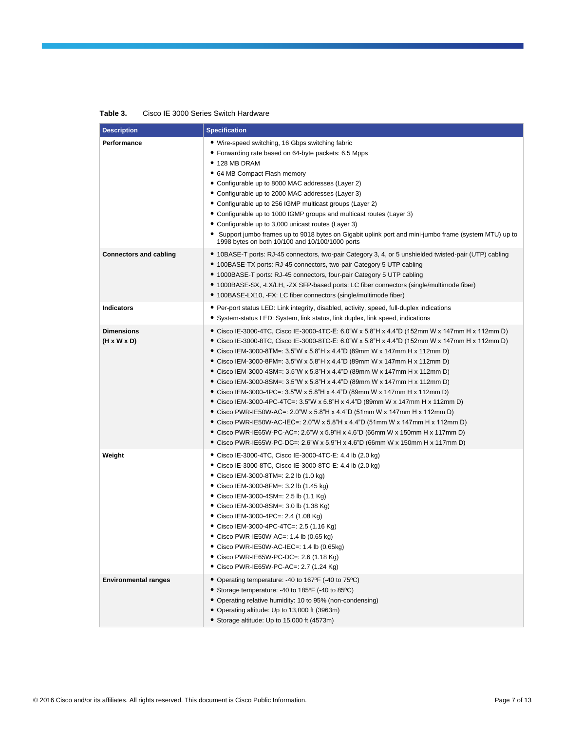| Table 3. | Cisco IE 3000 Series Switch Hardware |  |
|----------|--------------------------------------|--|
|----------|--------------------------------------|--|

| <b>Description</b>                           | <b>Specification</b>                                                                                                                                                                                                                                                                                                                                                                                                                                                                                                                                                                                                                                                                                                                                                                                                                                                                                                                                                                                                                                              |
|----------------------------------------------|-------------------------------------------------------------------------------------------------------------------------------------------------------------------------------------------------------------------------------------------------------------------------------------------------------------------------------------------------------------------------------------------------------------------------------------------------------------------------------------------------------------------------------------------------------------------------------------------------------------------------------------------------------------------------------------------------------------------------------------------------------------------------------------------------------------------------------------------------------------------------------------------------------------------------------------------------------------------------------------------------------------------------------------------------------------------|
| Performance<br><b>Connectors and cabling</b> | . Wire-speed switching, 16 Gbps switching fabric<br>• Forwarding rate based on 64-byte packets: 6.5 Mpps<br>$\bullet$ 128 MB DRAM<br>• 64 MB Compact Flash memory<br>• Configurable up to 8000 MAC addresses (Layer 2)<br>• Configurable up to 2000 MAC addresses (Layer 3)<br>• Configurable up to 256 IGMP multicast groups (Layer 2)<br>• Configurable up to 1000 IGMP groups and multicast routes (Layer 3)<br>• Configurable up to 3,000 unicast routes (Layer 3)<br>• Support jumbo frames up to 9018 bytes on Gigabit uplink port and mini-jumbo frame (system MTU) up to<br>1998 bytes on both 10/100 and 10/100/1000 ports<br>● 10BASE-T ports: RJ-45 connectors, two-pair Category 3, 4, or 5 unshielded twisted-pair (UTP) cabling<br>• 100BASE-TX ports: RJ-45 connectors, two-pair Category 5 UTP cabling<br>• 1000BASE-T ports: RJ-45 connectors, four-pair Category 5 UTP cabling<br>• 1000BASE-SX, -LX/LH, -ZX SFP-based ports: LC fiber connectors (single/multimode fiber)<br>● 100BASE-LX10, -FX: LC fiber connectors (single/multimode fiber) |
| <b>Indicators</b>                            | • Per-port status LED: Link integrity, disabled, activity, speed, full-duplex indications<br>• System-status LED: System, link status, link duplex, link speed, indications                                                                                                                                                                                                                                                                                                                                                                                                                                                                                                                                                                                                                                                                                                                                                                                                                                                                                       |
| <b>Dimensions</b><br>$(H \times W \times D)$ | ● Cisco IE-3000-4TC, Cisco IE-3000-4TC-E: 6.0"W x 5.8"H x 4.4"D (152mm W x 147mm H x 112mm D)<br>● Cisco IE-3000-8TC, Cisco IE-3000-8TC-E: 6.0"W x 5.8"H x 4.4"D (152mm W x 147mm H x 112mm D)<br>● Cisco IEM-3000-8TM=: 3.5"W x 5.8"H x 4.4"D (89mm W x 147mm H x 112mm D)<br>● Cisco IEM-3000-8FM=: 3.5"W x 5.8"H x 4.4"D (89mm W x 147mm H x 112mm D)<br>• Cisco IEM-3000-4SM=: 3.5"W x 5.8"H x 4.4"D (89mm W x 147mm H x 112mm D)<br>● Cisco IEM-3000-8SM=: 3.5"W x 5.8"H x 4.4"D (89mm W x 147mm H x 112mm D)<br>● Cisco IEM-3000-4PC=: 3.5"W x 5.8"H x 4.4"D (89mm W x 147mm H x 112mm D)<br>● Cisco IEM-3000-4PC-4TC=: 3.5"W x 5.8"H x 4.4"D (89mm W x 147mm H x 112mm D)<br>● Cisco PWR-IE50W-AC=: 2.0"W x 5.8"H x 4.4"D (51mm W x 147mm H x 112mm D)<br>● Cisco PWR-IE50W-AC-IEC=: 2.0"W x 5.8"H x 4.4"D (51mm W x 147mm H x 112mm D)<br>● Cisco PWR-IE65W-PC-AC=: 2.6"W x 5.9"H x 4.6"D (66mm W x 150mm H x 117mm D)<br>● Cisco PWR-IE65W-PC-DC=: 2.6"W x 5.9"H x 4.6"D (66mm W x 150mm H x 117mm D)                                                    |
| Weight                                       | ● Cisco IE-3000-4TC, Cisco IE-3000-4TC-E: 4.4 lb (2.0 kg)<br>● Cisco IE-3000-8TC, Cisco IE-3000-8TC-E: 4.4 lb (2.0 kg)<br>● Cisco IEM-3000-8TM=: 2.2 lb (1.0 kg)<br>● Cisco IEM-3000-8FM=: 3.2 lb (1.45 kg)<br>● Cisco IEM-3000-4SM=: 2.5 lb (1.1 Kg)<br>● Cisco IEM-3000-8SM=: 3.0 lb (1.38 Kg)<br>• Cisco IEM-3000-4PC=: 2.4 (1.08 Kg)<br>● Cisco IEM-3000-4PC-4TC=: 2.5 (1.16 Kg)<br>• Cisco PWR-IE50W-AC=: 1.4 lb (0.65 kg)<br>$\bullet$ Cisco PWR-IE50W-AC-IEC=: 1.4 lb (0.65kg)<br>• Cisco PWR-IE65W-PC-DC=: 2.6 (1.18 Kg)<br>● Cisco PWR-IE65W-PC-AC=: 2.7 (1.24 Kg)                                                                                                                                                                                                                                                                                                                                                                                                                                                                                       |
| <b>Environmental ranges</b>                  | • Operating temperature: -40 to 167°F (-40 to 75°C)<br>• Storage temperature: -40 to 185°F (-40 to 85°C)<br>• Operating relative humidity: 10 to 95% (non-condensing)<br>• Operating altitude: Up to 13,000 ft (3963m)<br>• Storage altitude: Up to 15,000 ft (4573m)                                                                                                                                                                                                                                                                                                                                                                                                                                                                                                                                                                                                                                                                                                                                                                                             |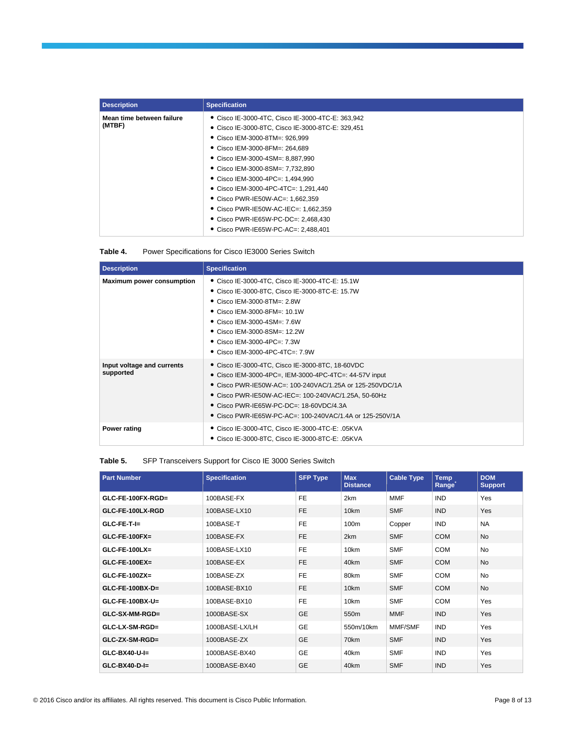| <b>Description</b>        | <b>Specification</b>                              |
|---------------------------|---------------------------------------------------|
| Mean time between failure | • Cisco IE-3000-4TC, Cisco IE-3000-4TC-E: 363,942 |
| (MTBF)                    | ● Cisco IE-3000-8TC, Cisco IE-3000-8TC-E: 329,451 |
|                           | ● Cisco IEM-3000-8TM=: 926,999                    |
|                           | ● Cisco IEM-3000-8FM=: 264,689                    |
|                           | ● Cisco IEM-3000-4SM=: 8,887,990                  |
|                           | • Cisco IEM-3000-8SM=: 7.732.890                  |
|                           | ● Cisco IEM-3000-4PC=: 1,494,990                  |
|                           | ● Cisco IEM-3000-4PC-4TC=: 1,291,440              |
|                           | • Cisco PWR-IE50W-AC=: 1.662.359                  |
|                           | • Cisco PWR-IE50W-AC-IEC=: 1.662.359              |
|                           | • Cisco PWR-IE65W-PC-DC=: 2.468.430               |
|                           | • Cisco PWR-IE65W-PC-AC=: 2,488,401               |

| Table 4. | Power Specifications for Cisco IE3000 Series Switch |  |  |
|----------|-----------------------------------------------------|--|--|
|          |                                                     |  |  |

| <b>Description</b>                      | <b>Specification</b>                                                                                                                                                                                                                                                                                                                          |
|-----------------------------------------|-----------------------------------------------------------------------------------------------------------------------------------------------------------------------------------------------------------------------------------------------------------------------------------------------------------------------------------------------|
| <b>Maximum power consumption</b>        | • Cisco IE-3000-4TC, Cisco IE-3000-4TC-E: 15.1W<br>Cisco IE-3000-8TC, Cisco IE-3000-8TC-E: 15.7W<br>• Cisco IEM-3000-8TM=: 2.8W<br>• Cisco IEM-3000-8FM=: 10.1W<br>• Cisco IEM-3000-4SM=: 7.6W<br>• Cisco IEM-3000-8SM=: 12.2W<br>• Cisco IEM-3000-4PC=: 7.3W<br>● Cisco IEM-3000-4PC-4TC=: 7.9W                                              |
| Input voltage and currents<br>supported | ● Cisco IE-3000-4TC, Cisco IE-3000-8TC, 18-60VDC<br>● Cisco IEM-3000-4PC=, IEM-3000-4PC-4TC=: 44-57V input<br>● Cisco PWR-IE50W-AC=: 100-240VAC/1.25A or 125-250VDC/1A<br>● Cisco PWR-IE50W-AC-IEC=: 100-240VAC/1.25A, 50-60Hz<br>$\bullet$ Cisco PWR-IE65W-PC-DC=: 18-60VDC/4.3A<br>● Cisco PWR-IE65W-PC-AC=: 100-240VAC/1.4A or 125-250V/1A |
| Power rating                            | ● Cisco IE-3000-4TC, Cisco IE-3000-4TC-E: .05KVA<br>● Cisco IE-3000-8TC, Cisco IE-3000-8TC-E: .05KVA                                                                                                                                                                                                                                          |

#### **Table 5.** SFP Transceivers Support for Cisco IE 3000 Series Switch

| <b>Part Number</b>   | <b>Specification</b> | <b>SFP Type</b> | <b>Max</b><br><b>Distance</b> | <b>Cable Type</b> | <b>Temp</b><br>Range | <b>DOM</b><br><b>Support</b> |
|----------------------|----------------------|-----------------|-------------------------------|-------------------|----------------------|------------------------------|
| $GLC$ -FE-100FX-RGD= | 100BASE-FX           | <b>FE</b>       | 2km                           | <b>MMF</b>        | <b>IND</b>           | Yes                          |
| GLC-FE-100LX-RGD     | 100BASE-LX10         | <b>FE</b>       | 10 <sub>km</sub>              | <b>SMF</b>        | <b>IND</b>           | Yes                          |
| $GLC-FE-T-I=$        | 100BASE-T            | <b>FE</b>       | 100m                          | Copper            | <b>IND</b>           | <b>NA</b>                    |
| $GLC$ -FE-100FX=     | 100BASE-FX           | <b>FE</b>       | 2km                           | <b>SMF</b>        | <b>COM</b>           | <b>No</b>                    |
| $GLC$ -FE-100LX=     | 100BASE-LX10         | <b>FE</b>       | 10km                          | <b>SMF</b>        | <b>COM</b>           | <b>No</b>                    |
| $GLC$ -FE-100EX=     | 100BASE-EX           | <b>FE</b>       | 40km                          | <b>SMF</b>        | <b>COM</b>           | <b>No</b>                    |
| $GLC$ -FE-100ZX=     | 100BASE-ZX           | <b>FE</b>       | 80km                          | <b>SMF</b>        | <b>COM</b>           | <b>No</b>                    |
| $GLC$ -FE-100BX-D=   | 100BASE-BX10         | <b>FE</b>       | 10km                          | <b>SMF</b>        | <b>COM</b>           | <b>No</b>                    |
| $GLC$ -FE-100BX-U=   | 100BASE-BX10         | <b>FE</b>       | 10km                          | <b>SMF</b>        | <b>COM</b>           | Yes                          |
| GLC-SX-MM-RGD=       | 1000BASE-SX          | <b>GE</b>       | 550 <sub>m</sub>              | <b>MMF</b>        | <b>IND</b>           | Yes                          |
| GLC-LX-SM-RGD=       | 1000BASE-LX/LH       | <b>GE</b>       | 550m/10km                     | MMF/SMF           | <b>IND</b>           | Yes                          |
| $GLC-ZX-SM-RGD=$     | 1000BASE-ZX          | <b>GE</b>       | 70km                          | <b>SMF</b>        | <b>IND</b>           | Yes                          |
| $GLC-BX40-U-I=$      | 1000BASE-BX40        | <b>GE</b>       | 40km                          | <b>SMF</b>        | <b>IND</b>           | Yes                          |
| $GLC-BX40-D-I=$      | 1000BASE-BX40        | <b>GE</b>       | 40km                          | <b>SMF</b>        | <b>IND</b>           | Yes                          |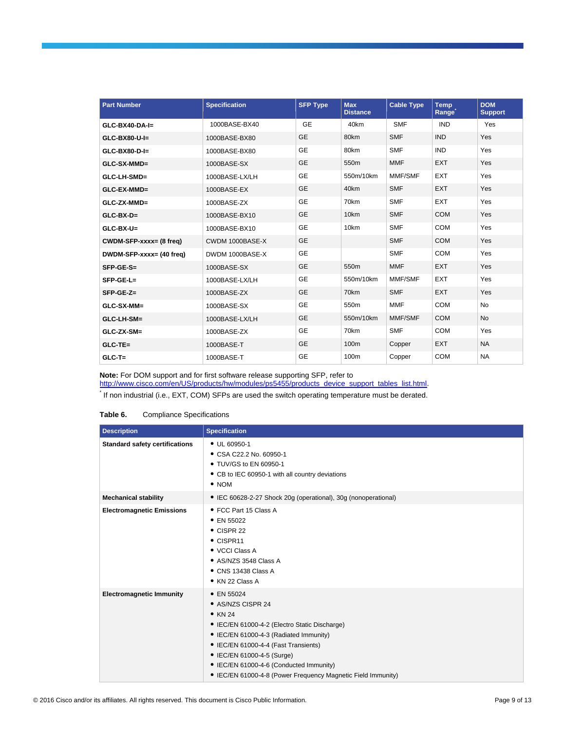| <b>Part Number</b>       | <b>Specification</b> | <b>SFP Type</b> | <b>Max</b><br><b>Distance</b> | <b>Cable Type</b> | <b>Temp</b><br>Range | <b>DOM</b><br><b>Support</b> |
|--------------------------|----------------------|-----------------|-------------------------------|-------------------|----------------------|------------------------------|
| $GLC-BX40-DA-I=$         | 1000BASE-BX40        | <b>GE</b>       | 40km                          | <b>SMF</b>        | <b>IND</b>           | Yes                          |
| GLC-BX80-U-I=            | 1000BASE-BX80        | <b>GE</b>       | 80km                          | <b>SMF</b>        | <b>IND</b>           | Yes                          |
| $GLC-BX80-D-I=$          | 1000BASE-BX80        | <b>GE</b>       | 80km                          | <b>SMF</b>        | <b>IND</b>           | Yes                          |
| GLC-SX-MMD=              | 1000BASE-SX          | <b>GE</b>       | 550m                          | <b>MMF</b>        | <b>EXT</b>           | Yes                          |
| GLC-LH-SMD=              | 1000BASE-LX/LH       | <b>GE</b>       | 550m/10km                     | MMF/SMF           | <b>EXT</b>           | Yes                          |
| GLC-EX-MMD=              | 1000BASE-EX          | <b>GE</b>       | 40km                          | <b>SMF</b>        | <b>EXT</b>           | Yes                          |
| GLC-ZX-MMD=              | 1000BASE-ZX          | <b>GE</b>       | 70km                          | <b>SMF</b>        | <b>EXT</b>           | Yes                          |
| $GLC-BX-D=$              | 1000BASE-BX10        | <b>GE</b>       | 10km                          | <b>SMF</b>        | <b>COM</b>           | Yes                          |
| $GLC-BX-U=$              | 1000BASE-BX10        | <b>GE</b>       | 10 <sub>km</sub>              | <b>SMF</b>        | <b>COM</b>           | Yes                          |
| CWDM-SFP-xxxx= (8 freq)  | CWDM 1000BASE-X      | <b>GE</b>       |                               | <b>SMF</b>        | <b>COM</b>           | Yes                          |
| DWDM-SFP-xxxx= (40 freq) | DWDM 1000BASE-X      | <b>GE</b>       |                               | <b>SMF</b>        | <b>COM</b>           | Yes                          |
| $SFP-GE-S=$              | 1000BASE-SX          | <b>GE</b>       | 550m                          | <b>MMF</b>        | <b>EXT</b>           | Yes                          |
| $SFP-GE-L=$              | 1000BASE-LX/LH       | GE              | 550m/10km                     | MMF/SMF           | <b>EXT</b>           | Yes                          |
| $SFP-GE-Z=$              | 1000BASE-ZX          | <b>GE</b>       | 70km                          | <b>SMF</b>        | <b>EXT</b>           | Yes                          |
| GLC-SX-MM=               | 1000BASE-SX          | <b>GE</b>       | 550m                          | <b>MMF</b>        | <b>COM</b>           | <b>No</b>                    |
| GLC-LH-SM=               | 1000BASE-LX/LH       | <b>GE</b>       | 550m/10km                     | MMF/SMF           | <b>COM</b>           | <b>No</b>                    |
| GLC-ZX-SM=               | 1000BASE-ZX          | <b>GE</b>       | 70km                          | <b>SMF</b>        | <b>COM</b>           | Yes                          |
| $GLC-TE=$                | 1000BASE-T           | <b>GE</b>       | 100m                          | Copper            | <b>EXT</b>           | <b>NA</b>                    |
| $GLC-T=$                 | 1000BASE-T           | <b>GE</b>       | 100m                          | Copper            | <b>COM</b>           | <b>NA</b>                    |

**Note:** For DOM support and for first software release supporting SFP, refer to

[http://www.cisco.com/en/US/products/hw/modules/ps5455/products\\_device\\_support\\_tables\\_list.html.](http://www.cisco.com/en/US/products/hw/modules/ps5455/products_device_support_tables_list.html)

\* If non industrial (i.e., EXT, COM) SFPs are used the switch operating temperature must be derated.

| Table 6. |  | <b>Compliance Specifications</b> |
|----------|--|----------------------------------|
|----------|--|----------------------------------|

| <b>Description</b>                    | <b>Specification</b>                                                                                                                                                                                                                                                                                                                   |
|---------------------------------------|----------------------------------------------------------------------------------------------------------------------------------------------------------------------------------------------------------------------------------------------------------------------------------------------------------------------------------------|
| <b>Standard safety certifications</b> | • UL 60950-1<br>• CSA C22.2 No. 60950-1<br>• TUV/GS to EN 60950-1<br>• CB to IEC 60950-1 with all country deviations<br>$\bullet$ NOM                                                                                                                                                                                                  |
| <b>Mechanical stability</b>           | • IEC 60628-2-27 Shock 20g (operational), 30g (nonoperational)                                                                                                                                                                                                                                                                         |
| <b>Electromagnetic Emissions</b>      | • FCC Part 15 Class A<br>• EN 55022<br>$\bullet$ CISPR 22<br>• CISPR11<br>• VCCI Class A<br>• AS/NZS 3548 Class A<br>$\bullet$ CNS 13438 Class A<br>• KN 22 Class A                                                                                                                                                                    |
| <b>Electromagnetic Immunity</b>       | $\bullet$ EN 55024<br>• AS/NZS CISPR 24<br>$\bullet$ KN 24<br>• IEC/EN 61000-4-2 (Electro Static Discharge)<br>• IEC/EN 61000-4-3 (Radiated Immunity)<br>• IEC/EN 61000-4-4 (Fast Transients)<br>• IEC/EN 61000-4-5 (Surge)<br>• IEC/EN 61000-4-6 (Conducted Immunity)<br>• IEC/EN 61000-4-8 (Power Frequency Magnetic Field Immunity) |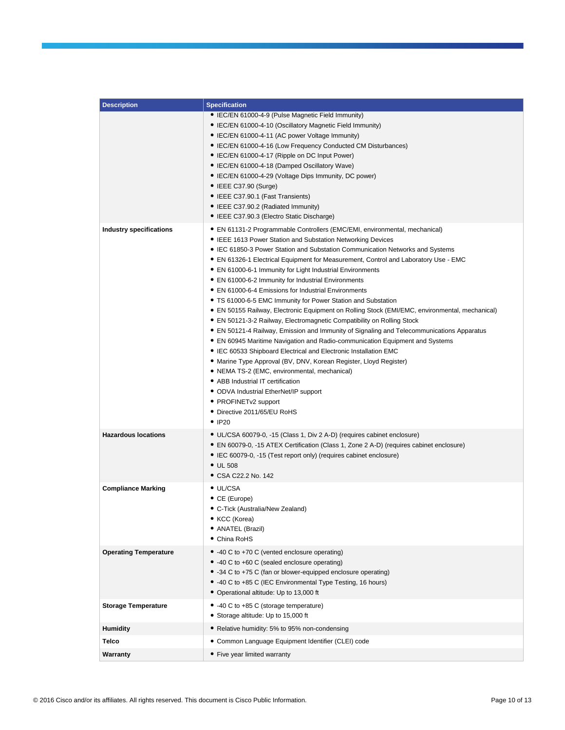| <b>Description</b>             | <b>Specification</b>                                                                                                                                                                                                                                                                                                                                                                                                                                                                                                                                                                                                                                                                                                                                                                                                                                                                                                                                                                                                                                                                                                                                                                                                                                                               |
|--------------------------------|------------------------------------------------------------------------------------------------------------------------------------------------------------------------------------------------------------------------------------------------------------------------------------------------------------------------------------------------------------------------------------------------------------------------------------------------------------------------------------------------------------------------------------------------------------------------------------------------------------------------------------------------------------------------------------------------------------------------------------------------------------------------------------------------------------------------------------------------------------------------------------------------------------------------------------------------------------------------------------------------------------------------------------------------------------------------------------------------------------------------------------------------------------------------------------------------------------------------------------------------------------------------------------|
|                                | • IEC/EN 61000-4-9 (Pulse Magnetic Field Immunity)<br>• IEC/EN 61000-4-10 (Oscillatory Magnetic Field Immunity)<br>• IEC/EN 61000-4-11 (AC power Voltage Immunity)<br>• IEC/EN 61000-4-16 (Low Frequency Conducted CM Disturbances)<br>• IEC/EN 61000-4-17 (Ripple on DC Input Power)<br>• IEC/EN 61000-4-18 (Damped Oscillatory Wave)<br>• IEC/EN 61000-4-29 (Voltage Dips Immunity, DC power)<br>$\bullet$ IEEE C37.90 (Surge)<br>• IEEE C37.90.1 (Fast Transients)<br>• IEEE C37.90.2 (Radiated Immunity)<br>• IEEE C37.90.3 (Electro Static Discharge)                                                                                                                                                                                                                                                                                                                                                                                                                                                                                                                                                                                                                                                                                                                         |
| <b>Industry specifications</b> | • EN 61131-2 Programmable Controllers (EMC/EMI, environmental, mechanical)<br>• IEEE 1613 Power Station and Substation Networking Devices<br>• IEC 61850-3 Power Station and Substation Communication Networks and Systems<br>• EN 61326-1 Electrical Equipment for Measurement, Control and Laboratory Use - EMC<br>• EN 61000-6-1 Immunity for Light Industrial Environments<br>• EN 61000-6-2 Immunity for Industrial Environments<br>• EN 61000-6-4 Emissions for Industrial Environments<br>• TS 61000-6-5 EMC Immunity for Power Station and Substation<br>• EN 50155 Railway, Electronic Equipment on Rolling Stock (EMI/EMC, environmental, mechanical)<br>• EN 50121-3-2 Railway, Electromagnetic Compatibility on Rolling Stock<br>• EN 50121-4 Railway, Emission and Immunity of Signaling and Telecommunications Apparatus<br>• EN 60945 Maritime Navigation and Radio-communication Equipment and Systems<br>• IEC 60533 Shipboard Electrical and Electronic Installation EMC<br>• Marine Type Approval (BV, DNV, Korean Register, Lloyd Register)<br>• NEMA TS-2 (EMC, environmental, mechanical)<br>• ABB Industrial IT certification<br>• ODVA Industrial EtherNet/IP support<br>• PROFINET <sub>v2</sub> support<br>• Directive 2011/65/EU RoHS<br>$\bullet$ IP20 |
| <b>Hazardous locations</b>     | • UL/CSA 60079-0, -15 (Class 1, Div 2 A-D) (requires cabinet enclosure)<br>• EN 60079-0, -15 ATEX Certification (Class 1, Zone 2 A-D) (requires cabinet enclosure)<br>• IEC 60079-0, -15 (Test report only) (requires cabinet enclosure)<br>$\bullet$ UL 508<br>• CSA C22.2 No. 142                                                                                                                                                                                                                                                                                                                                                                                                                                                                                                                                                                                                                                                                                                                                                                                                                                                                                                                                                                                                |
| <b>Compliance Marking</b>      | • UL/CSA<br>• CE (Europe)<br>• C-Tick (Australia/New Zealand)<br>• KCC (Korea)<br>• ANATEL (Brazil)<br>• China RoHS                                                                                                                                                                                                                                                                                                                                                                                                                                                                                                                                                                                                                                                                                                                                                                                                                                                                                                                                                                                                                                                                                                                                                                |
| <b>Operating Temperature</b>   | • -40 C to +70 C (vented enclosure operating)<br>• -40 C to +60 C (sealed enclosure operating)<br>• -34 C to +75 C (fan or blower-equipped enclosure operating)<br>• -40 C to +85 C (IEC Environmental Type Testing, 16 hours)<br>• Operational altitude: Up to 13,000 ft                                                                                                                                                                                                                                                                                                                                                                                                                                                                                                                                                                                                                                                                                                                                                                                                                                                                                                                                                                                                          |
| <b>Storage Temperature</b>     | • -40 C to +85 C (storage temperature)<br>• Storage altitude: Up to 15,000 ft                                                                                                                                                                                                                                                                                                                                                                                                                                                                                                                                                                                                                                                                                                                                                                                                                                                                                                                                                                                                                                                                                                                                                                                                      |
| <b>Humidity</b>                | • Relative humidity: 5% to 95% non-condensing                                                                                                                                                                                                                                                                                                                                                                                                                                                                                                                                                                                                                                                                                                                                                                                                                                                                                                                                                                                                                                                                                                                                                                                                                                      |
| <b>Telco</b>                   | • Common Language Equipment Identifier (CLEI) code                                                                                                                                                                                                                                                                                                                                                                                                                                                                                                                                                                                                                                                                                                                                                                                                                                                                                                                                                                                                                                                                                                                                                                                                                                 |
| Warranty                       | • Five year limited warranty                                                                                                                                                                                                                                                                                                                                                                                                                                                                                                                                                                                                                                                                                                                                                                                                                                                                                                                                                                                                                                                                                                                                                                                                                                                       |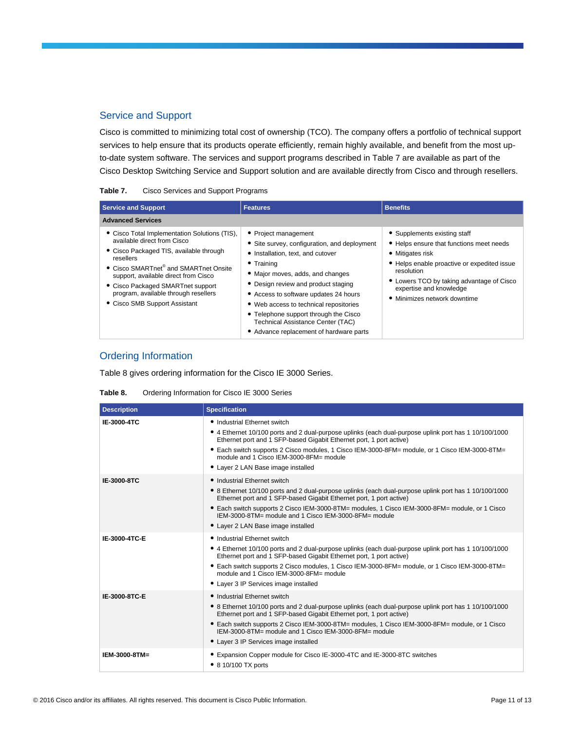### Service and Support

Cisco is committed to minimizing total cost of ownership (TCO). The company offers a portfolio of technical support services to help ensure that its products operate efficiently, remain highly available, and benefit from the most upto-date system software. The services and support programs described in Table 7 are available as part of the Cisco Desktop Switching Service and Support solution and are available directly from Cisco and through resellers.

| Table 7. |  |  | Cisco Services and Support Programs |
|----------|--|--|-------------------------------------|
|          |  |  |                                     |

| <b>Service and Support</b>                                                                                                                                                                                                                                                                                                                      | <b>Features</b>                                                                                                                                                                                                                                                                                                                                                                                                      | <b>Benefits</b>                                                                                                                                                                                                                                                   |
|-------------------------------------------------------------------------------------------------------------------------------------------------------------------------------------------------------------------------------------------------------------------------------------------------------------------------------------------------|----------------------------------------------------------------------------------------------------------------------------------------------------------------------------------------------------------------------------------------------------------------------------------------------------------------------------------------------------------------------------------------------------------------------|-------------------------------------------------------------------------------------------------------------------------------------------------------------------------------------------------------------------------------------------------------------------|
| <b>Advanced Services</b>                                                                                                                                                                                                                                                                                                                        |                                                                                                                                                                                                                                                                                                                                                                                                                      |                                                                                                                                                                                                                                                                   |
| • Cisco Total Implementation Solutions (TIS),<br>available direct from Cisco<br>• Cisco Packaged TIS, available through<br>resellers<br>• Cisco SMARTnet <sup>®</sup> and SMARTnet Onsite<br>support, available direct from Cisco<br>• Cisco Packaged SMARTnet support<br>program, available through resellers<br>• Cisco SMB Support Assistant | • Project management<br>Site survey, configuration, and deployment<br>• Installation, text, and cutover<br>$\bullet$ Training<br>• Major moves, adds, and changes<br>• Design review and product staging<br>• Access to software updates 24 hours<br>• Web access to technical repositories<br>• Telephone support through the Cisco<br>Technical Assistance Center (TAC)<br>• Advance replacement of hardware parts | • Supplements existing staff<br>• Helps ensure that functions meet needs<br>• Mitigates risk<br>• Helps enable proactive or expedited issue<br>resolution<br>• Lowers TCO by taking advantage of Cisco<br>expertise and knowledge<br>• Minimizes network downtime |

# Ordering Information

Table 8 gives ordering information for the Cisco IE 3000 Series.

#### **Table 8.** Ordering Information for Cisco IE 3000 Series

| <b>Description</b> | <b>Specification</b>                                                                                                                                                                                                                                                                                                                                                                                             |
|--------------------|------------------------------------------------------------------------------------------------------------------------------------------------------------------------------------------------------------------------------------------------------------------------------------------------------------------------------------------------------------------------------------------------------------------|
| IE-3000-4TC        | • Industrial Ethernet switch<br>• 4 Ethernet 10/100 ports and 2 dual-purpose uplinks (each dual-purpose uplink port has 1 10/100/1000<br>Ethernet port and 1 SFP-based Gigabit Ethernet port, 1 port active)<br>• Each switch supports 2 Cisco modules, 1 Cisco IEM-3000-8FM= module, or 1 Cisco IEM-3000-8TM=<br>module and 1 Cisco IEM-3000-8FM= module<br>• Layer 2 LAN Base image installed                  |
| IE-3000-8TC        | • Industrial Ethernet switch<br>• 8 Ethernet 10/100 ports and 2 dual-purpose uplinks (each dual-purpose uplink port has 1 10/100/1000<br>Ethernet port and 1 SFP-based Gigabit Ethernet port, 1 port active)<br>• Each switch supports 2 Cisco IEM-3000-8TM= modules, 1 Cisco IEM-3000-8FM= module, or 1 Cisco<br>IEM-3000-8TM= module and 1 Cisco IEM-3000-8FM= module<br>• Layer 2 LAN Base image installed    |
| IE-3000-4TC-E      | • Industrial Ethernet switch<br>• 4 Ethernet 10/100 ports and 2 dual-purpose uplinks (each dual-purpose uplink port has 1 10/100/1000<br>Ethernet port and 1 SFP-based Gigabit Ethernet port, 1 port active)<br>• Each switch supports 2 Cisco modules, 1 Cisco IEM-3000-8FM= module, or 1 Cisco IEM-3000-8TM=<br>module and 1 Cisco IEM-3000-8FM= module<br>• Layer 3 IP Services image installed               |
| IE-3000-8TC-E      | • Industrial Ethernet switch<br>• 8 Ethernet 10/100 ports and 2 dual-purpose uplinks (each dual-purpose uplink port has 1 10/100/1000<br>Ethernet port and 1 SFP-based Gigabit Ethernet port, 1 port active)<br>• Each switch supports 2 Cisco IEM-3000-8TM= modules, 1 Cisco IEM-3000-8FM= module, or 1 Cisco<br>IEM-3000-8TM= module and 1 Cisco IEM-3000-8FM= module<br>• Layer 3 IP Services image installed |
| IEM-3000-8TM=      | • Expansion Copper module for Cisco IE-3000-4TC and IE-3000-8TC switches<br>• 8 10/100 TX ports                                                                                                                                                                                                                                                                                                                  |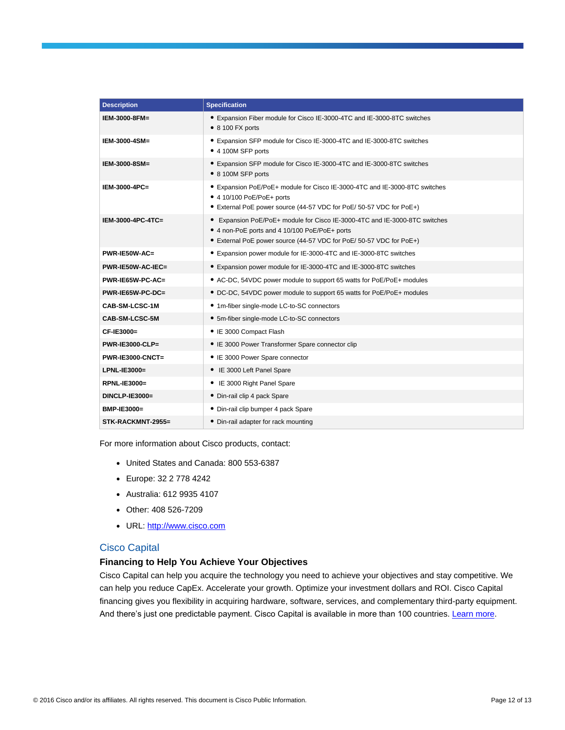| <b>Description</b>      | <b>Specification</b>                                                                                                                                                                               |
|-------------------------|----------------------------------------------------------------------------------------------------------------------------------------------------------------------------------------------------|
| IEM-3000-8FM=           | • Expansion Fiber module for Cisco IE-3000-4TC and IE-3000-8TC switches<br>$\bullet$ 8 100 FX ports                                                                                                |
| IEM-3000-4SM=           | • Expansion SFP module for Cisco IE-3000-4TC and IE-3000-8TC switches<br>• 4 100M SFP ports                                                                                                        |
| IEM-3000-8SM=           | • Expansion SFP module for Cisco IE-3000-4TC and IE-3000-8TC switches<br>• 8 100M SFP ports                                                                                                        |
| IEM-3000-4PC=           | • Expansion PoE/PoE+ module for Cisco IE-3000-4TC and IE-3000-8TC switches<br>● 4 10/100 PoE/PoE+ ports<br>• External PoE power source (44-57 VDC for PoE/ 50-57 VDC for PoE+)                     |
| IEM-3000-4PC-4TC=       | • Expansion PoE/PoE+ module for Cisco IE-3000-4TC and IE-3000-8TC switches<br>• 4 non-PoE ports and 4 10/100 PoE/PoE+ ports<br>• External PoE power source (44-57 VDC for PoE/ 50-57 VDC for PoE+) |
| $PWR-IE50W-AC=$         | • Expansion power module for IE-3000-4TC and IE-3000-8TC switches                                                                                                                                  |
| PWR-IE50W-AC-IEC=       | • Expansion power module for IE-3000-4TC and IE-3000-8TC switches                                                                                                                                  |
| PWR-IE65W-PC-AC=        | • AC-DC, 54VDC power module to support 65 watts for PoE/PoE+ modules                                                                                                                               |
| PWR-IE65W-PC-DC=        | • DC-DC, 54VDC power module to support 65 watts for PoE/PoE+ modules                                                                                                                               |
| CAB-SM-LCSC-1M          | • 1m-fiber single-mode LC-to-SC connectors                                                                                                                                                         |
| CAB-SM-LCSC-5M          | • 5m-fiber single-mode LC-to-SC connectors                                                                                                                                                         |
| CF-IE3000=              | • IE 3000 Compact Flash                                                                                                                                                                            |
| <b>PWR-IE3000-CLP=</b>  | • IE 3000 Power Transformer Spare connector clip                                                                                                                                                   |
| <b>PWR-IE3000-CNCT=</b> | • IE 3000 Power Spare connector                                                                                                                                                                    |
| LPNL-IE3000=            | • IE 3000 Left Panel Spare                                                                                                                                                                         |
| <b>RPNL-IE3000=</b>     | • IE 3000 Right Panel Spare                                                                                                                                                                        |
| DINCLP-IE3000=          | • Din-rail clip 4 pack Spare                                                                                                                                                                       |
| BMP-IE3000=             | • Din-rail clip bumper 4 pack Spare                                                                                                                                                                |
| STK-RACKMNT-2955=       | • Din-rail adapter for rack mounting                                                                                                                                                               |

For more information about Cisco products, contact:

- United States and Canada: 800 553-6387
- Europe: 32 2 778 4242
- Australia: 612 9935 4107
- Other: 408 526-7209
- URL: [http://www.cisco.com](http://www.cisco.com/)

#### Cisco Capital

#### **Financing to Help You Achieve Your Objectives**

Cisco Capital can help you acquire the technology you need to achieve your objectives and stay competitive. We can help you reduce CapEx. Accelerate your growth. Optimize your investment dollars and ROI. Cisco Capital financing gives you flexibility in acquiring hardware, software, services, and complementary third-party equipment. And there's just one predictable payment. Cisco Capital is available in more than 100 countries. [Learn more.](http://www.cisco.com/web/ciscocapital/americas/us/index.html)